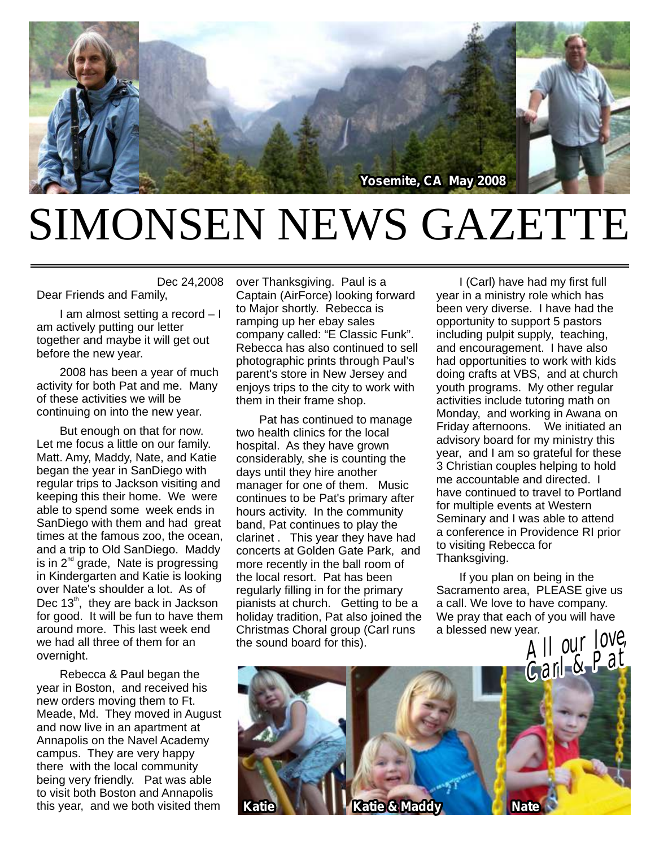

## SIMONSEN NEWS GAZETTE

Dec 24,2008 Dear Friends and Family,

I am almost setting a record – I am actively putting our letter together and maybe it will get out before the new year.

2008 has been a year of much activity for both Pat and me. Many of these activities we will be continuing on into the new year.

But enough on that for now. Let me focus a little on our family. Matt. Amy, Maddy, Nate, and Katie began the year in SanDiego with regular trips to Jackson visiting and keeping this their home. We were able to spend some week ends in SanDiego with them and had great times at the famous zoo, the ocean, and a trip to Old SanDiego. Maddy is in  $2^{nd}$  grade, Nate is progressing in Kindergarten and Katie is looking over Nate's shoulder a lot. As of Dec  $13<sup>th</sup>$ , they are back in Jackson for good. It will be fun to have them around more. This last week end we had all three of them for an overnight.

Rebecca & Paul began the year in Boston, and received his new orders moving them to Ft. Meade, Md. They moved in August and now live in an apartment at Annapolis on the Navel Academy campus. They are very happy there with the local community being very friendly. Pat was able to visit both Boston and Annapolis this year, and we both visited them

over Thanksgiving. Paul is a Captain (AirForce) looking forward to Major shortly. Rebecca is ramping up her ebay sales company called: "E Classic Funk". Rebecca has also continued to sell photographic prints through Paul's parent's store in New Jersey and enjoys trips to the city to work with them in their frame shop.

Pat has continued to manage two health clinics for the local hospital. As they have grown considerably, she is counting the days until they hire another manager for one of them. Music continues to be Pat's primary after hours activity. In the community band, Pat continues to play the clarinet . This year they have had concerts at Golden Gate Park, and more recently in the ball room of the local resort. Pat has been regularly filling in for the primary pianists at church. Getting to be a holiday tradition, Pat also joined the Christmas Choral group (Carl runs

I (Carl) have had my first full year in a ministry role which has been very diverse. I have had the opportunity to support 5 pastors including pulpit supply, teaching, and encouragement. I have also had opportunities to work with kids doing crafts at VBS, and at church youth programs. My other regular activities include tutoring math on Monday, and working in Awana on Friday afternoons. We initiated an advisory board for my ministry this year, and I am so grateful for these 3 Christian couples helping to hold me accountable and directed. I have continued to travel to Portland for multiple events at Western Seminary and I was able to attend a conference in Providence RI prior to visiting Rebecca for Thanksgiving.

If you plan on being in the Sacramento area, PLEASE give us a call. We love to have company. We pray that each of you will have a blessed new year.